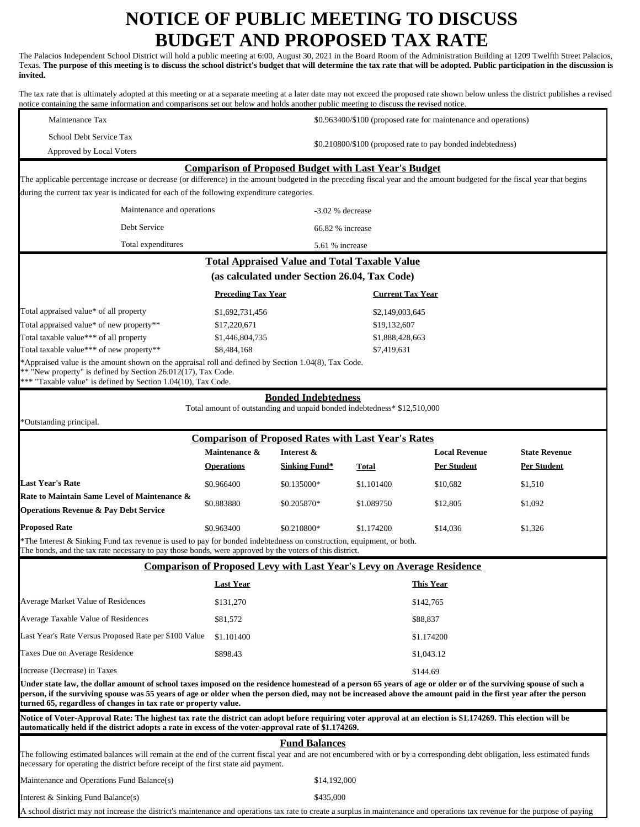## **NOTICE OF PUBLIC MEETING TO DISCUSS BUDGET AND PROPOSED TAX RATE**

The Palacios Independent School District will hold a public meeting at 6:00, August 30, 2021 in the Board Room of the Administration Building at 1209 Twelfth Street Palacios, Texas. **The purpose of this meeting is to discuss the school district's budget that will determine the tax rate that will be adopted. Public participation in the discussion is invited.**

The tax rate that is ultimately adopted at this meeting or at a separate meeting at a later date may not exceed the proposed rate shown below unless the district publishes a revised notice containing the same information and comparisons set out below and holds another public meeting to discuss the revised notice.

| Maintenance Tax                                                                                                                                                                                                                                                                                                                                                                                        | \$0.963400/\$100 (proposed rate for maintenance and operations) |                                                                               |                  |                                            |                                            |  |
|--------------------------------------------------------------------------------------------------------------------------------------------------------------------------------------------------------------------------------------------------------------------------------------------------------------------------------------------------------------------------------------------------------|-----------------------------------------------------------------|-------------------------------------------------------------------------------|------------------|--------------------------------------------|--------------------------------------------|--|
| School Debt Service Tax                                                                                                                                                                                                                                                                                                                                                                                |                                                                 |                                                                               |                  |                                            |                                            |  |
| Approved by Local Voters                                                                                                                                                                                                                                                                                                                                                                               | \$0.210800/\$100 (proposed rate to pay bonded indebtedness)     |                                                                               |                  |                                            |                                            |  |
|                                                                                                                                                                                                                                                                                                                                                                                                        |                                                                 | <b>Comparison of Proposed Budget with Last Year's Budget</b>                  |                  |                                            |                                            |  |
| The applicable percentage increase or decrease (or difference) in the amount budgeted in the preceding fiscal year and the amount budgeted for the fiscal year that begins                                                                                                                                                                                                                             |                                                                 |                                                                               |                  |                                            |                                            |  |
| during the current tax year is indicated for each of the following expenditure categories.                                                                                                                                                                                                                                                                                                             |                                                                 |                                                                               |                  |                                            |                                            |  |
| Maintenance and operations                                                                                                                                                                                                                                                                                                                                                                             |                                                                 |                                                                               | -3.02 % decrease |                                            |                                            |  |
| Debt Service                                                                                                                                                                                                                                                                                                                                                                                           |                                                                 |                                                                               | 66.82 % increase |                                            |                                            |  |
| Total expenditures                                                                                                                                                                                                                                                                                                                                                                                     |                                                                 |                                                                               | 5.61 % increase  |                                            |                                            |  |
|                                                                                                                                                                                                                                                                                                                                                                                                        |                                                                 | <b>Total Appraised Value and Total Taxable Value</b>                          |                  |                                            |                                            |  |
|                                                                                                                                                                                                                                                                                                                                                                                                        |                                                                 | (as calculated under Section 26.04, Tax Code)                                 |                  |                                            |                                            |  |
|                                                                                                                                                                                                                                                                                                                                                                                                        | <b>Preceding Tax Year</b><br><b>Current Tax Year</b>            |                                                                               |                  |                                            |                                            |  |
| Total appraised value* of all property                                                                                                                                                                                                                                                                                                                                                                 | \$1,692,731,456<br>\$2,149,003,645                              |                                                                               |                  |                                            |                                            |  |
| Total appraised value* of new property**                                                                                                                                                                                                                                                                                                                                                               | \$17,220,671<br>\$19,132,607                                    |                                                                               |                  |                                            |                                            |  |
| Total taxable value*** of all property                                                                                                                                                                                                                                                                                                                                                                 | \$1,446,804,735<br>\$1,888,428,663                              |                                                                               |                  |                                            |                                            |  |
| Total taxable value*** of new property**<br>*Appraised value is the amount shown on the appraisal roll and defined by Section 1.04(8), Tax Code.                                                                                                                                                                                                                                                       | \$8,484,168                                                     |                                                                               | \$7,419,631      |                                            |                                            |  |
| ** "New property" is defined by Section 26.012(17), Tax Code.<br>*** "Taxable value" is defined by Section 1.04(10), Tax Code.                                                                                                                                                                                                                                                                         |                                                                 |                                                                               |                  |                                            |                                            |  |
|                                                                                                                                                                                                                                                                                                                                                                                                        |                                                                 | <b>Bonded Indebtedness</b>                                                    |                  |                                            |                                            |  |
|                                                                                                                                                                                                                                                                                                                                                                                                        |                                                                 | Total amount of outstanding and unpaid bonded indebtedness* \$12,510,000      |                  |                                            |                                            |  |
| *Outstanding principal.                                                                                                                                                                                                                                                                                                                                                                                |                                                                 |                                                                               |                  |                                            |                                            |  |
|                                                                                                                                                                                                                                                                                                                                                                                                        |                                                                 | <b>Comparison of Proposed Rates with Last Year's Rates</b>                    |                  |                                            |                                            |  |
|                                                                                                                                                                                                                                                                                                                                                                                                        | Maintenance &                                                   | Interest &                                                                    |                  | <b>Local Revenue</b><br><b>Per Student</b> | <b>State Revenue</b><br><b>Per Student</b> |  |
|                                                                                                                                                                                                                                                                                                                                                                                                        | <b>Operations</b>                                               | <b>Sinking Fund*</b>                                                          | <b>Total</b>     |                                            |                                            |  |
| Last Year's Rate<br>Rate to Maintain Same Level of Maintenance &                                                                                                                                                                                                                                                                                                                                       | \$0.966400                                                      | \$0.135000*                                                                   | \$1.101400       | \$10,682                                   | \$1,510                                    |  |
| <b>Operations Revenue &amp; Pay Debt Service</b>                                                                                                                                                                                                                                                                                                                                                       | \$0.883880                                                      | \$0.205870*                                                                   | \$1.089750       | \$12,805                                   | \$1,092                                    |  |
| <b>Proposed Rate</b>                                                                                                                                                                                                                                                                                                                                                                                   | \$0.963400                                                      | \$0.210800*                                                                   | \$1.174200       | \$14,036                                   | \$1,326                                    |  |
| *The Interest & Sinking Fund tax revenue is used to pay for bonded indebtedness on construction, equipment, or both.<br>The bonds, and the tax rate necessary to pay those bonds, were approved by the voters of this district.                                                                                                                                                                        |                                                                 |                                                                               |                  |                                            |                                            |  |
|                                                                                                                                                                                                                                                                                                                                                                                                        |                                                                 | <b>Comparison of Proposed Levy with Last Year's Levy on Average Residence</b> |                  |                                            |                                            |  |
| <b>Last Year</b><br>This Year                                                                                                                                                                                                                                                                                                                                                                          |                                                                 |                                                                               |                  |                                            |                                            |  |
| Average Market Value of Residences                                                                                                                                                                                                                                                                                                                                                                     | \$131,270                                                       |                                                                               |                  | \$142,765                                  |                                            |  |
| Average Taxable Value of Residences                                                                                                                                                                                                                                                                                                                                                                    | \$81,572                                                        |                                                                               |                  | \$88,837                                   |                                            |  |
| Last Year's Rate Versus Proposed Rate per \$100 Value                                                                                                                                                                                                                                                                                                                                                  | \$1.101400                                                      |                                                                               | \$1.174200       |                                            |                                            |  |
| Taxes Due on Average Residence                                                                                                                                                                                                                                                                                                                                                                         | \$898.43                                                        |                                                                               |                  | \$1,043.12                                 |                                            |  |
| Increase (Decrease) in Taxes                                                                                                                                                                                                                                                                                                                                                                           | \$144.69                                                        |                                                                               |                  |                                            |                                            |  |
| Under state law, the dollar amount of school taxes imposed on the residence homestead of a person 65 years of age or older or of the surviving spouse of such a<br>person, if the surviving spouse was 55 years of age or older when the person died, may not be increased above the amount paid in the first year after the person<br>turned 65, regardless of changes in tax rate or property value. |                                                                 |                                                                               |                  |                                            |                                            |  |
| Notice of Voter-Approval Rate: The highest tax rate the district can adopt before requiring voter approval at an election is \$1.174269. This election will be<br>automatically held if the district adopts a rate in excess of the voter-approval rate of \$1.174269.                                                                                                                                 |                                                                 |                                                                               |                  |                                            |                                            |  |
|                                                                                                                                                                                                                                                                                                                                                                                                        |                                                                 | <b>Fund Balances</b>                                                          |                  |                                            |                                            |  |
| The following estimated balances will remain at the end of the current fiscal year and are not encumbered with or by a corresponding debt obligation, less estimated funds<br>necessary for operating the district before receipt of the first state aid payment.                                                                                                                                      |                                                                 |                                                                               |                  |                                            |                                            |  |
| Maintenance and Operations Fund Balance(s)                                                                                                                                                                                                                                                                                                                                                             |                                                                 |                                                                               | \$14,192,000     |                                            |                                            |  |
| Interest & Sinking Fund Balance(s)                                                                                                                                                                                                                                                                                                                                                                     | \$435,000                                                       |                                                                               |                  |                                            |                                            |  |

A school district may not increase the district's maintenance and operations tax rate to create a surplus in maintenance and operations tax revenue for the purpose of paying